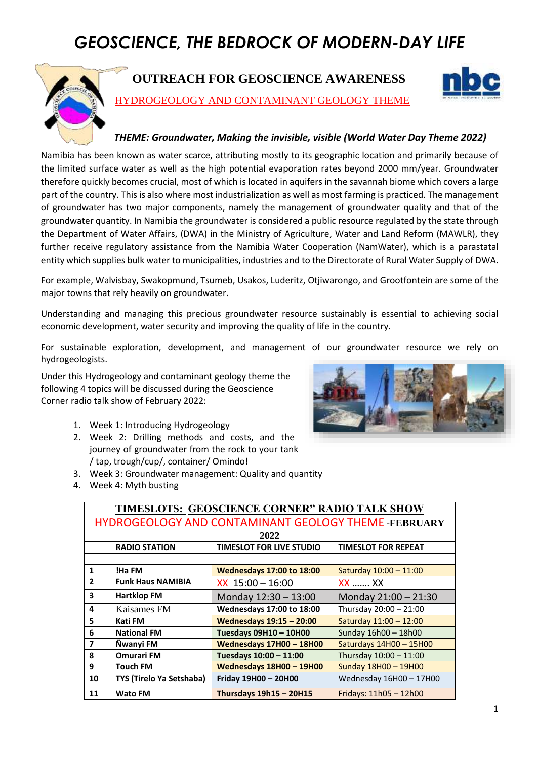# *GEOSCIENCE, THE BEDROCK OF MODERN-DAY LIFE*



### **OUTREACH FOR GEOSCIENCE AWARENESS**



HYDROGEOLOGY AND CONTAMINANT GEOLOGY THEME

#### *THEME: Groundwater, Making the invisible, visible (World Water Day Theme 2022)*

Namibia has been known as water scarce, attributing mostly to its geographic location and primarily because of the limited surface water as well as the high potential evaporation rates beyond 2000 mm/year. Groundwater therefore quickly becomes crucial, most of which is located in aquifers in the savannah biome which covers a large part of the country. This is also where most industrialization as well as most farming is practiced. The management of groundwater has two major components, namely the management of groundwater quality and that of the groundwater quantity. In Namibia the groundwater is considered a public resource regulated by the state through the Department of Water Affairs, (DWA) in the Ministry of Agriculture, Water and Land Reform (MAWLR), they further receive regulatory assistance from the Namibia Water Cooperation (NamWater), which is a parastatal entity which supplies bulk water to municipalities, industries and to the Directorate of Rural Water Supply of DWA.

For example, Walvisbay, Swakopmund, Tsumeb, Usakos, Luderitz, Otjiwarongo, and Grootfontein are some of the major towns that rely heavily on groundwater.

Understanding and managing this precious groundwater resource sustainably is essential to achieving social economic development, water security and improving the quality of life in the country.

For sustainable exploration, development, and management of our groundwater resource we rely on hydrogeologists.

Under this Hydrogeology and contaminant geology theme the following 4 topics will be discussed during the Geoscience Corner radio talk show of February 2022:

- 1. Week 1: Introducing Hydrogeology
- 2. Week 2: Drilling methods and costs, and the journey of groundwater from the rock to your tank / tap, trough/cup/, container/ Omindo!
- 3. Week 3: Groundwater management: Quality and quantity
- 4. Week 4: Myth busting



| TIMESLOTS: GEOSCIENCE CORNER" RADIO TALK SHOW        |                          |                                  |                            |  |  |  |  |  |  |  |
|------------------------------------------------------|--------------------------|----------------------------------|----------------------------|--|--|--|--|--|--|--|
| HYDROGEOLOGY AND CONTAMINANT GEOLOGY THEME -FEBRUARY |                          |                                  |                            |  |  |  |  |  |  |  |
| 2022                                                 |                          |                                  |                            |  |  |  |  |  |  |  |
|                                                      | <b>RADIO STATION</b>     | <b>TIMESLOT FOR LIVE STUDIO</b>  | <b>TIMESLOT FOR REPEAT</b> |  |  |  |  |  |  |  |
|                                                      |                          |                                  |                            |  |  |  |  |  |  |  |
| $\mathbf{1}$                                         | !Ha FM                   | <b>Wednesdays 17:00 to 18:00</b> | Saturday 10:00 - 11:00     |  |  |  |  |  |  |  |
| $\overline{2}$                                       | <b>Funk Haus NAMIBIA</b> | $XX$ 15:00 - 16:00               | <b>XX  XX</b>              |  |  |  |  |  |  |  |
| $\overline{\mathbf{3}}$                              | <b>Hartklop FM</b>       | Monday 12:30 - 13:00             | Monday 21:00 - 21:30       |  |  |  |  |  |  |  |
| $\overline{4}$                                       | Kaisames FM              | <b>Wednesdays 17:00 to 18:00</b> | Thursday 20:00 - 21:00     |  |  |  |  |  |  |  |
| 5                                                    | Kati FM                  | <b>Wednesdays 19:15 - 20:00</b>  | Saturday 11:00 - 12:00     |  |  |  |  |  |  |  |
| 6                                                    | <b>National FM</b>       | Tuesdays 09H10 - 10H00           | Sunday 16h00 - 18h00       |  |  |  |  |  |  |  |
| $\overline{7}$                                       | Ñwanyi FM                | Wednesdays 17H00 - 18H00         | Saturdays 14H00 - 15H00    |  |  |  |  |  |  |  |
| 8                                                    | <b>Omurari FM</b>        | Tuesdays 10:00 - 11:00           | Thursday 10:00 - 11:00     |  |  |  |  |  |  |  |
| 9                                                    | <b>Touch FM</b>          | Wednesdays 18H00 - 19H00         | Sunday 18H00 - 19H00       |  |  |  |  |  |  |  |
| 10                                                   | TYS (Tirelo Ya Setshaba) | Friday 19H00 - 20H00             | Wednesday 16H00 - 17H00    |  |  |  |  |  |  |  |
| 11                                                   | <b>Wato FM</b>           | Thursdays 19h15 - 20H15          | Fridays: $11h05 - 12h00$   |  |  |  |  |  |  |  |